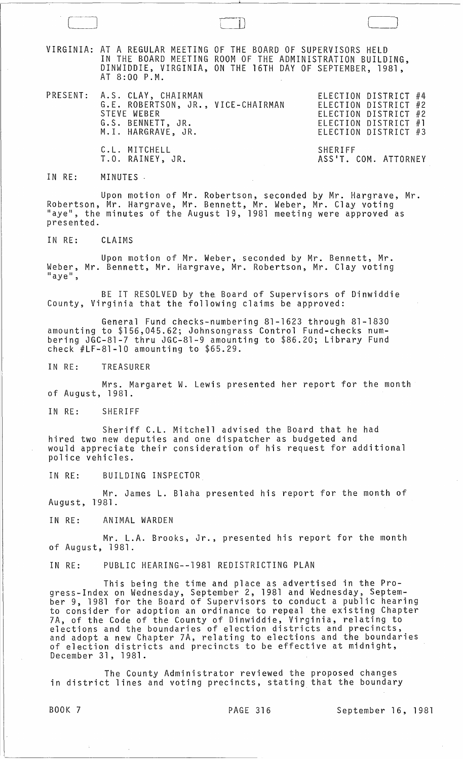VIRGINIA: AT A REGULAR MEETING Of THE BOARD OF SUPERVISORS HELD IN THE BOARD MEETING ROOM OF THE ADMINISTRATION BUILDING, DINWIDDIE, VIRGINIA, ON THE 16TH DAY OF SEPTEMBER, 1981, AT 8:00 P.M.

PRESENT: A.S. CLAY, CHAIRMAN ELECTION DISTRICT #4 G. E. ROBERTSON, JR., VICE-CHAIRMAN STEVE WEBER G.S. BENNETT, JR. M.1. HARGRAVE, JR. C.L. MITCHELL

T.O. RAINEY, JR.

ELECTION DISTRICT #2 ELECTION DISTRICT #2 ELECTION DISTRICT #1 ELECTION DISTRICT #3

 $\begin{array}{c} \begin{array}{c} \end{array} \end{array}$ 

SHERIFF ASS'T. COM. ATTORNEY

IN RE: MINUTES -

Upon motion of Mr. Robertson, seconded by Mr. Hargrave, Mr. Robertson, Mr. Hargrave, Mr. Bennett, Mr. Weber, Mr. Clay voting "aye", the minutes of the August 19, 1981 meeting were approved as presented.

IN RE: CLAIMS

Upon motion of Mr. Weber, seconded by Mr. Bennett, Mr. Weber, Mr. Bennett, Mr. Hargrave, Mr. Robertson, Mr. Clay voting  $"ave"$ .

BE IT RESOLVED by the Board of Supervisors of Dinwiddie County, Virginia that the following claims be approved:

General Fund checks-numbering 81-1623 through 81-1830 amounting to \$156,045.62; Johnsongrass Control Fund-checks numbering JGC-81-7 thru JGC-81-9 amounting to \$86.20; Library Fund check #LF-81-10 amounting to \$65.29.

IN RE: TREASURER

Mrs. Margaret W. Lewis presented her report for the month of August, 1981.

IN RE: SHERIFF

Sheriff C.L. Mitchell advised the Board that he had hired two new deputies and one dispatcher as budgeted and would appreciate their consideration of his request for additional police vehicles.

IN RE: BUILDING INSPECTOR

Mr. James L. Blaha presented his report for the month of August, 1981.

IN RE: ANIMAL WARDEN

Mr. L.A. Brooks, Jr., presented his report for the month of August, 1981.

IN RE: PUBLIC HEARING--1981 REDISTRICTING PLAN

This being the time and place as advertised in the Progress-Index on Wednesday, September 2, 1981 and Wednesday, September 9, 1981 for the Board of Supervisors to conduct a public hearing to consider for adoption an ordinance to repeal the existing Chapter 7A, of the Code of the County of Dinwiddie, Virginia, relating to elections and the boundaries of election districts and precincts,<br>elections and the boundaries of election districts and precincts,<br>and adopt a new Chapter 7A, relating to elections and the boundaries and adopt a new Chapter 7A, relating to elections and the boundaries<br>of election districts and precincts to be effective at midnight, December 31,1981.

The County Administrator reviewed the proposed changes in district lines and voting precincts, stating that the boundary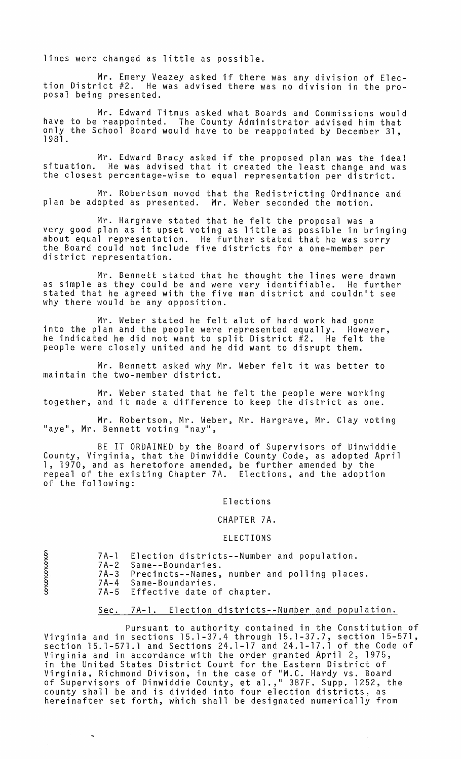lines were changed as little as possible.

Mr. Emery Veazey asked if there was any division of Election District #2. He was advised there was no division in the pro-<br>posal being presented.

Mr. Edward Titmus asked what Boards and Commissions would have to be reappointed. The County Administrator advised him that only the School Board would have to be reappointed by December 31, 1981.

Mr. Edward Bracy asked if the proposed plan was the ideal situation. He was advised that it created the least change and was the closest percentage-wise to equal representation per district.

Mr. Robertson moved that the Redistricting Ordinance and plan be adopted as presented. Mr. Weber seconded the motion.

Mr. Hargrave stated that he felt the proposal was a very good plan as it upset voting as little as possible in bringing about equal representation. He further stated that he was sorry<br>the Board could not include five districts for a one-member per<br>district representation.

Mr. Bennett stated that he thought the lines were drawn as simple as they could be and were very identifiable. He further stated that he agreed with the five man district and couldn't see why there would be any opposition.

Mr. Weber stated he felt alot of hard work had gone into the plan and the people were represented equally. However, he indicated he did not want to split District #2. He felt the people were closely united and he did want to disrupt them.

Mr. Bennett asked why Mr. Weber felt it was better to maintain the two-member district.

Mr. Weber stated that he felt the people were working together, and it made a difference to keep the district as one.

Mr. Robertson, Mr. Weber, Mr. Hargrave, Mr. Clay voting "aye", Mr. Bennett voting "nay",

BE IT ORDAINED by the Board of Supervisors of Dinwiddie County, Virginia, that the Dinwiddie County Code, as adopted April 1, 1970, and as heretofore amended, be further amended by the repeal of the existing Chapter 7A. Elections, and the adoption of the following:

Elections

CHAPTER 7A.

## ELECTIONS

|                        | 7A-1 Election districts--Number and population. |  |
|------------------------|-------------------------------------------------|--|
| 7A-2 Same--Boundaries. |                                                 |  |

- 7A-3 Precincts--Names, number and polling places. Same-Boundaries.
	- 7A-4 7A-5 Effective date of chapter.

 $\S$  .

~

 $\mathcal{L}^{(1)}$ 

 $\mathbb{R}^{\mathbb{Z}}$ 

# Sec. 7A-l. Election districts--Number and population.

Pursuant to authority contained in the Constitution of Virginia and in sections 15.1-37.4 through 15.1-37.7, section 15-571, section 15.1-571.1 and Sections 24.1-17 and 24.1-17.1 of the Code of Virginia and in accordance with the order granted April 2, 1975, in the United States District Court for the Eastern District of Virginia, Richmond Divison, in the case of "M.C. Hardy vs. Board of Supervisors of Dinwiddie County, et al.,11 387F. Supp. 1252, the county shall be and is divided into four election districts, as hereinafter set forth, which shall be designated numerically from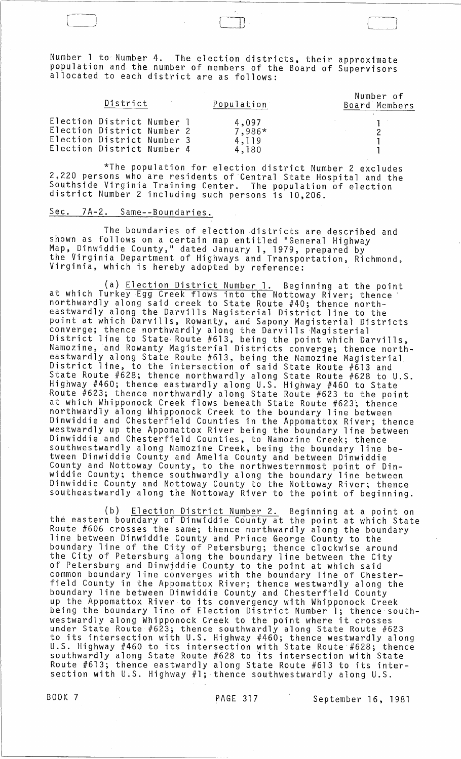Number 1 to Number 4. The election districts, their approximate population and the, number of members of the Board of Supervisors allocated to each district are as follows:

r-J l

| District                                                                                                             |  | Population                        | Number of<br>Board Members |
|----------------------------------------------------------------------------------------------------------------------|--|-----------------------------------|----------------------------|
| Election District Number 1<br>Election District Number 2<br>Election District Number 3<br>Election District Number 4 |  | 4,097<br>7,986*<br>4.119<br>4,180 |                            |

\*The population for election district Number 2 excludes 2,220 persons who are residents of Central State Hospital and the Southside Virginia Training Center. The population of election district Number 2 including such persons is 10,206.

# Sec. 7A-2. Same--Boundaries.

The boundaries of election districts are described and shown as follows on a certain map entitled "General Highway Map, Dinwiddie County," dated January 1, 1979, prepared by the Virginia Department of Highways and Transportation, Richmond, Virginia, which is hereby adopted by reference:

(a) Election District Number 1. Beginning at the point at which Turkey Egg Creek flows into the Nottoway River; thence' northwardly along said creek to State Route #40; thence northeastwardly along the Darvills Magisterial District line to the point at which Darvills, Rowanty, and Sapony Magisterial Districts converge; thence northwardly along the Darvills 'Magisterial District line to State· Route #613, being the point which Darvills, Namozine, and Rowanty Magisterial Districts converge; thence northeastwardly along State Route #613, being the Namozine Magisterial District line, to the intersection of said State Route #613 and State Route #628; thence northwardly along State Route #628 to U.S. Highway #460; thence eastwardly along. U.S. Highway #460 to State Route #623; thence northwardly along State Route #623 to the point at which Whipponock Creek flows beneath State Route #623; thence northwardly along Whipponock Creek to the boundary line between Dinwiddie and Chesterfield Counties in the Appomattox River; thence westwardly up the Appomattox River being the boundary line between Dinwiddie and Chesterfield Counties, to Namozine Creek; thence southwestwardly along Namozine Creek, being the boundary line between Dinwiddie County and Amelia County and between Dinwiddie County and Nottoway County, to the northwesternmost point of Dinwiddie County; thence southwardly along the boundary line between Dinwiddie County and Nottoway County to the Nottoway River; thence southeastwardly along the Nottoway River to the point of beginning.

(b) Election District Number 2. Beginning at a point on the eastern boundary of Dinwiddie County at the point at which State Route #606 crosses the same; thence northwardly along the boundary<br>line between Dinwiddie County and Prince George County to the boundary line of the City of Petersburg; thence clockwise around the City of Petersburg along the boundary line between the City of Petersburg and Dinwjddie County to the point at which said common boundary line converges with the boundary line of Chesterfield County in the Appomattox River; thence westwardly along the boundary line between Dinwiddie County and Chesterfield County up the Appomattox River to its convergency with Whipponock Creek being the boundary line of Election District Number 1; thence southwestwardly along Whipponock Creek to the point where it crosses under State Route #623; thence southwardly along State Route #623 to its intersection with U.S. Highway #460; thence westwardly along U.S. Highway #460 to its intersection with State Route #628; thence southwardly along State Route #628 to its intersection with State Route #613; thence eastwardly along State Route #613 to its intersection with U.S. Highway #1; thence southwestwardly along U.S.

BOOK 7 PAGE 317 September 16, 1981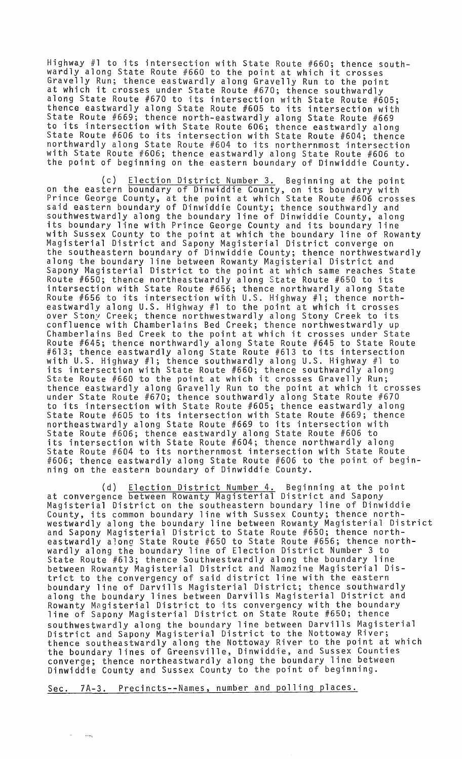Highway #1 to its intersection with State Route #660; thence southwardly along State Route #660 to the point at which it crosses Gravelly Run; thence eastwardly along Gravelly Run to the point at which it crosses under State Route #670; thence southwardly along State Route #670 to its intersection with State Route #605; thence eastwardly along State Route #605 to its intersection with State Route #669; thence north-eastwardly along State Route #669 to its intersection with State Route 606; thence eastwardly along State Route #606 to its intersection with State Route #604; thence northwardly along State Route #604 to its northernmost intersection with State Route #606; thence eastwardly along State Route #606 to the point of beginning on the eastern boundary of Dinwiddie County.

(c) Election District Number 3. Beginning at the point on the eastern boundary of Dinwiddie County, on its boundary with Prince George County, at the point at which State Route #606 crosses said eastern boundary of Dinwiddie County; thence southwardly and southwestwardly along the boundary line of Dinwiddie County, along its boundary line with Prince George County and its boundary line with Sussex County to the point at which the boundary line of Rowanty Magisterial District and Sapony Magisterial District converge on the southeastern boundary of Dinwiddie County; thence northwestwardly along the boundary line between Rowanty Magisterial District and Sapony Magisterial District to the point at which same reaches State Route #650; thence northeastwardly along State Route #650 to its intersection with State Route #656; thence northwardly along State Route #656 to its intersection with U.S. Highway #1; thence northeastwardly along U.S. Highway #1 to the point at which it crosses over Stony Creek; thence northwestwardly along Stony Creek to its confluence with Chamberlains Bed Creek; thence northwestwardly up Chamberlains Bed Creek to the pOint at which it crosses under State Route #645; thence northwardly along State Route #645 to State Route #613; thence eastwardly along State Route #613 to its intersection with U.S. Highway #1; thence southwardly along U.S. Highway #1 to its intersection with State Route #660; thence southwardly along<br>State Route #660 to the point at which it crosses Gravelly Run; thence eastwardly along Gravelly Run to the point at which it crosses under State Route #670; thence southwardly along State Route #670 to its intersection with State Route #605; thence eastwardly along State Route #605 to its intersection with State Route #669; thence northeastwardly along State Route #669 to its intersection with State Route #606; thence eastwardly along State Route #606 to its intersection with State Route #604; thence northwardly along State Route #604 to its northernmost intersection with State Route #606; thence eastwardly along State Route #606 to the point of beginning on the eastern boundary of Dinwiddie County.

(d) **Election District Number 4.** Beginning at the point at convergence between Rowanty Magisterial District and Sapony Magisterial District on the southeastern boundary line of Dinwiddie County, its common boundary line with Sussex County; thence northwestwardly along the boundary line between Rowanty Magisterial District and Sapony Magisterial District to State Route #650; thence northeastwardly a:ong State Route #650 to State Route #656; thence northwardly along the boundary line of Election District Number 3 to State Route #613; thence Southwestwardly along the boundary line between Rowanty Magisterial District and Namozine Magisterial District to the convergency of said district line with the eastern boundary line of Darvi11s Magisterial District; thence southwardly along the boundary lines between Darvills Magisterial District and Rowanty Magisterial District to its convergency with the boundary line of Sapony Magisterial District on State Route #650; thence line of Sapony Magisterial District on State Route #650; thence<br>southwestwardly along the boundary line between Darvills Magisterial District and Sapony Magisterial District to the Nottoway River; thence southeastwardly along the Nottoway River to the point at which the boundary lines of Greensville, Dinwiddie, and Sussex Counties converge; thence northeastwardly along the boundary line between Dinwiddie County and Sussex County to the point of beginning.

Sec. 7A-3. Precincts--Names, number and polling places.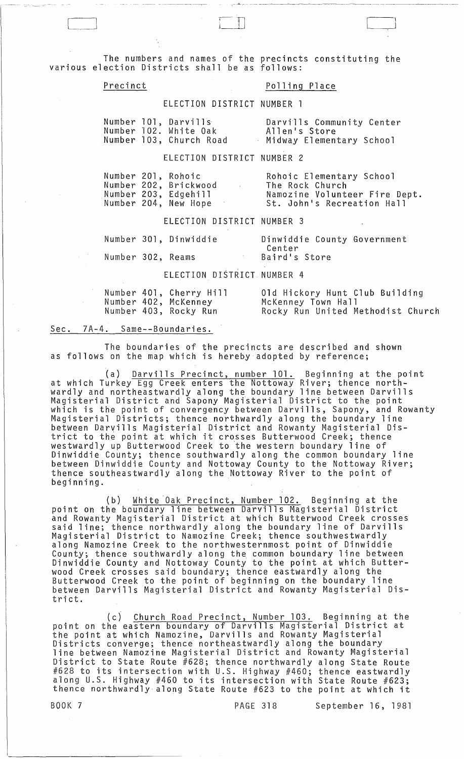The numbers and names of the precincts constituting the various election Districts shall be as follows:

# Precinct Polling Place

ELECTION DISTRICT NUMBER 1

|  | Number 101, Darvills    | Darvills Community Center |
|--|-------------------------|---------------------------|
|  | Number 102. White Oak   | Allen's Store             |
|  | Number 103, Church Road | Midway Elementary School  |

### ELECTION DISTRICT NUMBER 2

|  | Number 201, Rohoic    | Rohoic Elementary School      |
|--|-----------------------|-------------------------------|
|  | Number 202, Brickwood | The Rock Church               |
|  | Number 203, Edgehill  | Namozine Volunteer Fire Dept. |
|  | Number 204, New Hope  | St. John's Recreation Hall    |

ELECTION DISTRICT NUMBER 3

|                   | Number 301, Dinwiddie |               | Dinwiddie County Government |
|-------------------|-----------------------|---------------|-----------------------------|
|                   |                       | Center        |                             |
| Number 302, Reams |                       | Baird's Store |                             |

ELECTION DISTRICT NUMBER 4

|  | Number 401, Cherry Hill | 01d Hickory Hunt Club Building    |
|--|-------------------------|-----------------------------------|
|  | Number 402, McKenney    | McKenney Town Hall                |
|  | Number 403, Rocky Run   | Rocky Run United Methodist Church |

# Sec. 7A-4. Same--Boundaries.

The boundaries of the precincts are described and shown as follows on the map which is hereby adopted by reference;

(a) Darvills Precinct, number 101. Beginning at the point at which Turkey Egg Creek enters the Nottoway River; thence northwardly and northeastwardly along the boundary line between Darvills Magisterial District and Sapony Magisterial District to the point which is the point of convergency between Darvills, Sapony, and Rowanty Magisterial Districts; thence northwardly along the boundary line between Darvills Magisterial District and Rowanty Magisterial District to the point at which it crosses Butterwood Creek; thence westwardly up Butterwood Creek to 'the western boundary line of Dinwiddie County; thence southwardly along the common boundary line between Dinwiddie County and Nottoway County to the Nottoway River; thence southeastwardly along the Nottoway River to the point of beginning.

(b) White Oak Precinct, Number 102. Beginning at the point on the boundary line between Darvills Magisterial District and Rowanty Magisterial District at which Butterwood Creek crosses said line; thence northwardly along the boundary line of Darvills Magisterial District to Namozine Creek; thence southwestwardly along Namozine Creek to the northwesternmost point of Dinwiddie County; thence southwardly along the common boundary line between Dinwiddie County and Nottoway County to the point at which Butterwood Creek crosses said boundary; thence eastwardly along the Butterwood Creek to the point of beginning on the boundary line between Darvills Magisterial District and Rowanty Magisterial District.

(c) Church Road Precinct, Number 103. Beginning at the point on the eastern boundary of Darvills Magisterial District at the point at which Namozine, Darvills and Rowanty Magisterial Districts converge; thence northeastwardly along the boundary Districts converge; thence northeastwardly along the boundary<br>line between Namozine Magisterial District and Rowanty Magisterial District to State Route #628; thence northwardly along State Route #628 to its intersection with U.S. Highway #460; thence eastwardly along U.S. Highway #460 to its intersection with State Route #623; aiong 0.3. Highway #460 to its intersection with state Route #623;<br>thence northwardly along State Route #623 to the point at which it

BOOK 7 PAGE 318 September 16, 1981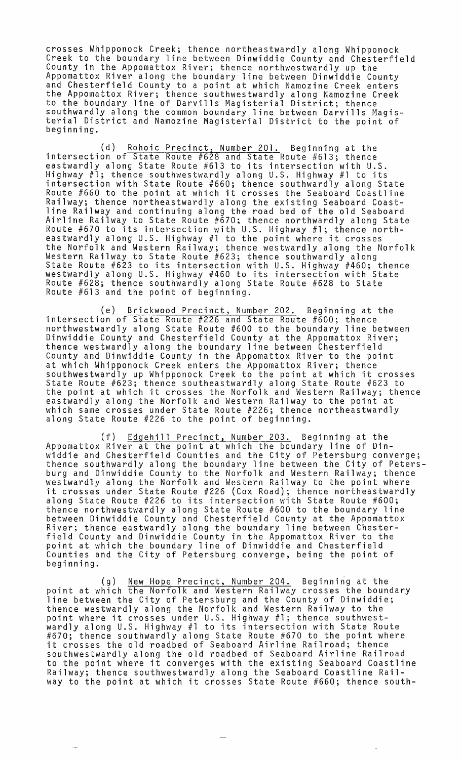crosses Whipponock Creek; thence northeastwardly along Whipponock Creek to the boundary line between Dinwiddie County and Chesterfield County in the Appomattox River; thence northwestwardly up the Appomattox River along the boundary line between Dinwiddie County and Chesterfield County to a point at which Namozine Creek enters the Appomattox River; thence southwestwardly along Namozine Creek to the boundary line of Darvills Magisterial District; thence southwardly along the common boundary line between Darvills Magisterial District and Namozine Magisterial District to the point of beginning.

(d) Rohoic Precinct, Number 201. Beginning at the intersection of State Route #628 and State Route #613; thence eastwardly along State Route #613 to its intersection with U.S. Highway #1; thence southwestwardly along U.S. Highway #1 to its intersection with State Route #660; thence southwardly along State Route #660 to the point at which it crosses the Seaboard Coastline Railway; thence northeastwardly along the existing Seaboard Coastline Railway and continuing along the road bed of the old Seaboard Airline Railway to State Route #670; thence northwardly along State Route #670 to its intersection with U.S. Highway #1; thence northeastwardly along U.S. Highway #1 to the point where it crosses the Norfolk and Western Railway; thence westwardly along the Norfolk Western Railway to State Route #623; thence southwardly along<br>State Route #623 to its intersection with U.S. Highway #460; thence westwardly along U.S. Highway #460 to its intersection with State Route #628; thence southwardly along State Route #628 to State Route #613 and the point of beginning.

(e) Brickwood Precinct, Number 202. Beginning at the intersection of State Route #226 and State Route #600; thence northwestwardly along State Route #600 to the boundary line between Dinwiddie County and Chesterfield County at the Appomattox River; thence westwardly along the boundary line between Chesterfield County and Dinwiddie County in the Appomattox River to the point at which Whipponock Creek enters the Appomattox River; thence southwestwardly up Whipponock Creek to the point at which it crosses State Route #623; thence southeastwardly along State Route #623 to the point at which it crosses the Norfolk and Western Railway; thence eastwardly along the Norfolk and Western Railway to the point at which same crosses under State Route #226; thence northeastwardly<br>along State Route #226 to the point of beginning.

(f) Edgehill Precinct, Number 203. Beginning at the Appomattox River at the point at which the boundary line of Dinwiddie and Chesterfield Counties and the City of Petersburg converge; thence southwardly along the boundary line between the City of Petersburg and Dinwiddie County to the Norfolk and Western Railway; thence westwardly along the Norfolk and Western Railway to the point where it crosses under State Route #226 (Cox Road); thence northeastwardly along State Route #226 to its intersection with State Route #600; thence northwestwardly along State Route #600 to the boundary line between Dinwiddie County and Chesterfield County at the Appomattox River; thence eastwardly along the boundary line between Chesterfield County and Dinwiddie County in the Appomattox River to the point at which the boundary line of Dinwiddie and Chesterfield Counties and the City of Petersburg converge, being the point of beginning.

(g) New Hope Precinct, Number 204. Beginning at the point at which the Norfolk and Western Railway crosses the boundary line between the City of Petersburg and the County of Dinwiddie; thence westwardly along the Norfolk and Western Railway to the point where it crosses under U.S. Highway #1; thence southwestwardly along U.S. Highway #1 to its intersection with State Route #670; thence southwardly along State Route #670 to the point where it crosses the old roadbed of Seaboard Airline Railroad; thence southwestwardly along the old roadbed of Seaboard Airline Railroad to the point where it converges with the existing Seaboard Coastline Railway; thence southwestwardly along the Seaboard Coastline Railway to the point at which it crosses State Route #660; thence south-

 $\sim$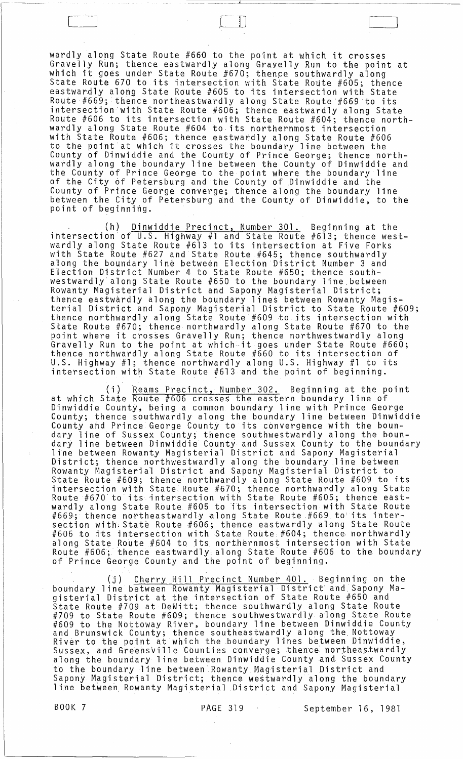wardly along State Route #660 to the point at which it crosses Gravelly Run; thence eastwardly along Gravelly Run to the point at which it goes under State Route #670; thence southwardly along State Route 670 to its intersection with State Route  $#605$ ; thence eastwardly along State Route #605 to its intersection with State Route #669; thence northeastwardly along State Route #669 to its intersection~with State Route #606; thence eastwardly along State Route #606 to its intersection with State Route #604; thence northwardly along State Route #604 to its northernmost intersection with State Route #606; thence eastwardly along State Route #606 to the point at which it crosses the boundary line between the County of Dinwiddie and the County of Prince George; thence northwardly along the boundary line between the County of Dinwiddie and the County of Prince George to the point where the boundary line of the City 6f Petersburg and the County of Dinwiddie and the County of Prince George converge; thence along the boundary line between the City of Petersburg and the County of Dinwiddie, to the point of beginning.

 $\Box$ 

(h) Dinwiddie Precinct, Number 301. Beginning at the intersection'of U.S. Highway #1 and State Route #613; thence westwardly along State Route #613 to its intersection at Five Forks with State Route #627 and State Route #645; thence southwardly along the boundary line between Election District Number 3 and Election District Number 4 to State Route #650; thence southwestwardly'a10ng State Route #650 to the boundary line.between Rowanty Magisterial District and Sapony Magisterial District; thence eastwardly along the boundary lines between Rowanty Magisterial District and Sapony Magisterial District to State Route #609; thence northwardly along State Route #609 to its intersection with State Route #670; thence northwardly along State Route #670 to the point where it crosses Gravelly Run; thence northwestwardly along Gravelly Run to the point at which·it goes under State Route #660; thence northwardly along State Route #660 to its intersection of U.S. Highway #1; thence northwardly along U.S. Highway #1 to its intersection with State Route  $#613$  and the point of beginning.

(i) Reams Precinct, Number 302. Beginning at the point at which State Route #606 crosses the eastern boundary line of Dinwiddie County, being a common boundary line with Prince George County; thence southwardly along the boundary line between Dinwiddie county, entired southwardly arong the boundary rine between brinnic dary line of Sussex County; thence southwestwardly along the boundary line between Dinwiddie County and Sussex County to the boundary line between Rowanty Magisterial District and Sapony Magisterial District; thence northwestwardly along the boundary line between Rowanty Magisterial District and Sapony Magisterial District to State Route #609; thence northwardly along State Route #609 to its intersection with State Route #670; thence northwardly along State Route #670 to its intersection with State Route #605; thence eastwardly along State Route #605 to its intersettion with State Route #669; thence northeastwardly along State Route #669 to: its inter section with State Route #606; thence eastwardly along State Route #606 to its intersection with State Route #604; thence northwardly along State Route #604 to its northernmost intersection with State Route #606; thence eastwardly along State Route #606 to the boundary  $\mathsf{of}\ \mathsf{Pr}$ ince George County and the point of beginning.

(j) Cherry Hill Precinct Number 401. Beginning on the boundary line between Rowanty Magisterial District and, Sapony Magisterial District at the intersection of State Route #650 and State Route #709 at DeWitt; thence southwardly along State Route #709 to State Route #609; thence southwestwardlY along State Route #609 to the Nottoway River, boundary line between Dinwiddie County<br>#609 to the Nottoway River, boundary line between Dinwiddie County<br>and Brunswick County; thence southeastwardly along the Nottoway and Branswick councy, showed southeastharing arong the householdie, Sussex, and GreehsVille Counties converge; then~i northeastwardly along the boundary line between Dinwiddie County and Sussex County to the boundary line between Rowanty Magisterial District and so one boundary rrne beckeen nowancy magisterial biseries and the empeny magisterial Bistricty Unche WestNaraly along the Boahaan.<br>line between Rowanty Magisterial District and Sapony Magisterial

BOOK 7 PAGE 319 September 16, 1981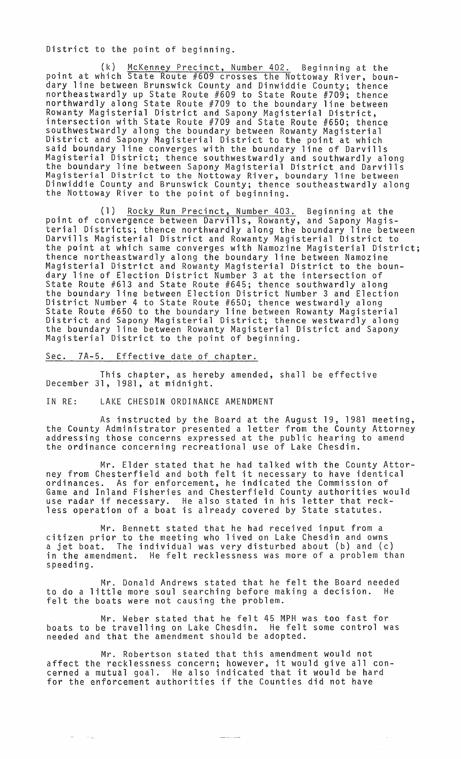District to the point of beginning.

(k) McKenney Precinct, Number 402. Beginning at the point at which State Route #609 crosses the Nottoway River, boundary line between Brunswick County and Dinwiddie County; thence northeastwardly up State Route #609 to State Route #709; thence northwardly along State Route #709 to the boundary line between Rowanty Magisterial District and Sapony Magisterial District, intersection with State Route #709 and State Route #650; thence southwestwardly along the boundary between Rowanty Magisterial District and Sapony Magisterial District to the point at which said boundary line converges with the boundary line of Darvills Magisterial District; thence southwestwardly and southwardly along<br>the boundary line between Sapony Magisterial District and Darvills Magisterial District to the Nottoway River, boundary line between Dinwiddie County and Brunswick County; thence southeastwardly along the Nottoway River to the point of beginning.

(1) Rocky Run Precinct, Number 403. Beginning at the point of convergence between Darvills, Rowanty, and Sapony Magisterial Districts; thence northwardly along the boundary line between Darvills Magisterial District and Rowanty Magisterial District to the point at which same converges with Namozine Magisterial District; thence northeastwardly along the boundary line between Namozine Magisterial District and Rowanty Magisterial District to the boundary line of Election District Number 3 at the intersection of State Route #613 and State Route #645; thence southwardly along the boundary line between Election District Number 3 and Election District Number 4 to State Route #650; thence westwardly along State Route #650 to the boundary line between Rowanty Magisterial District and Sapony Magisterial District; thence westwardly along the boundary line between Rowanty Magisterial District and Sapony Magisterial District to the point of beginning.

Sec. 7A-5. Effective date of chapter.

This chapter, as hereby amended, shall be effective December 31, 1981, at midnight.

IN RE: LAKE CHESDIN ORDINANCE AMENDMENT

in Priz

As instructed by the Board at the August 19, 1981 meeting, the County Administrator presented a letter from the County Attorney addressing those concerns expressed at the public hearing to amend the ordinance concerning recreational use of Lake Chesdin.

Mr. Elder stated that he had talked with the County Attorney from Chesterfield and both felt it necessary to have identical ordinances. As for enforcement, he indicated the Commission of Game and Inland Fisheries and Chesterfield County authorities would use radar if necessary. He also stated in his letter that reckless operation of a boat is already covered by State statutes.

Mr. Bennett stated that he had received input from a citizen prior to the meeting who lived on Lake Chesdin and owns a jet boat. The individual was very disturbed about (b) and (c) in the amendment. He felt recklessness was more of a problem than speeding.

Mr. Donald Andrews stated that he felt the Board needed to do a little more soul searching before making a decision. He felt the boats were not causing the problem.

Mr. Weber stated that he felt 45 MPH was too fast for boats to be travelling on Lake Chesdin. He felt some control was needed and that the amendment should be adopted.

Mr. Robertson stated that this amendment would not affect the recklessness concern; however, it would give all concerned a mutual goal. He also indicated that it would be hard for the enforcement authorities if the Counties did not have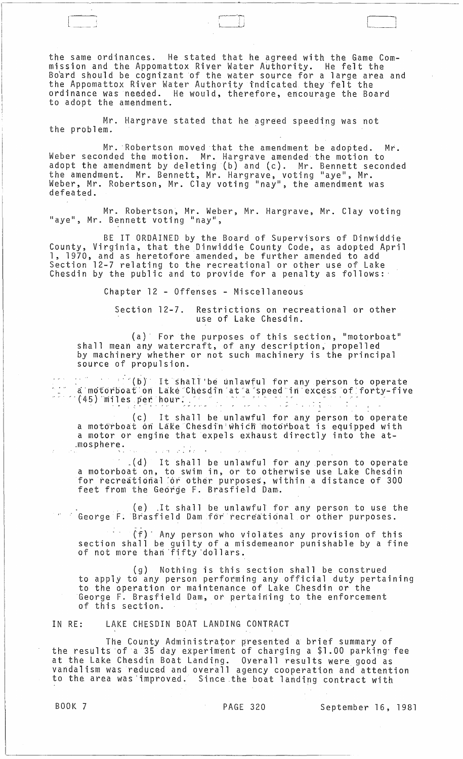the same ordinances. He stated that he agreed with the Game Commission and the Appomattox River Water Authority. He felt the Board should be cognizant of the water source for a large area and the Appomattox River Water Authority indicated they felt the ordinance was needed. He would, therefore, encourage the Board to adopt the amendment.

Mr. Hargrave stated that he agreed speeding was not the problem.

Mr. Robertson moved that the amendment be adopted. Mr. Weber seconded the motion. Mr. Hargrave amended the motion to adopt the amendment by deleting (b) and (c). Mr. Bennett seconded the amendment. Mr. Bennett, Mr. Hargrave, voting "aye", Mr. Weber, Mr. Robertson, Mr. Clay voting "nay", the amendment was defeated.

Mr. Robertson, Mr. Weber, Mr. Hargrave, Mr. Clay voting "aye", Mr. Bennett voting "nay",

BE IT ORDAINED by the Board of Supervisors of Dinwiddie County, Virginia, that the Dinwiddie County Code, as adopted April 1, 1970, and as heretofore amended, be further amended to add Section 12-7 relating to the recreational or other use of Lake Chesdin by the public and to provide for a penalty as follows:'

Chapter 12 - Offenses - Miscellaneous

Section 12-7. Restrictions on recreational or other use of Lake Chesdin.

(a)' For the purposes of this section, "motorboat" shall mean any watercraft, of any description, propelled by machinery whether or not such machinery is the principal source of propulsion.

:' '(bY' It' shalT 'be unl aWful for any person to operate  $\omega_{\rm c}$  and  $\omega_{\rm c}$ a motorboation Lake Chesdin at a speed in excess of forty-five<br>(45) miles per hour:

(c) It shall be unlawful for any person to operate a motórboat ón Lake Chesdin which motorboat is equipped with a motor or engine that expels exhaust directly into the at- ,mosphere. .'. ,:

.. (d) It shall be unlawful for any.person to operate a motorboat on, to swim in, or to otherwise use Lake Chesdin for recreational or other purposes, within a distance of 300 feet from the George F. Brasfield Dam.

(e) .It shall be unlawful for any person to use the George F. Brasfield Dam for recreational or other purposes.

 $(f)$  Any person who violates any provision of this section shall be guilty of a misdemeanor punishable by a fine of not more than 'fi fty 'doll ars.

(g) Nothing is this section shall be construed to apply to any person performing any official duty pertaining to the operation or maintenance of Lake Chesdin or the George F. Brasfield Dam, *ot* pertaining to the enforcement of this section.

## IN RE: LAKE CHESDIN BOAT LANDING CONTRACT

The County Administrator presented a brief summary of the results of a 35 day experiment of charging a \$1.00 parking fee at the Lake Chesdin Boat Landing. Overall results were good as vandalism was reduced and overall agency cooperation and attention to the area was improved. Since the boat landing contract with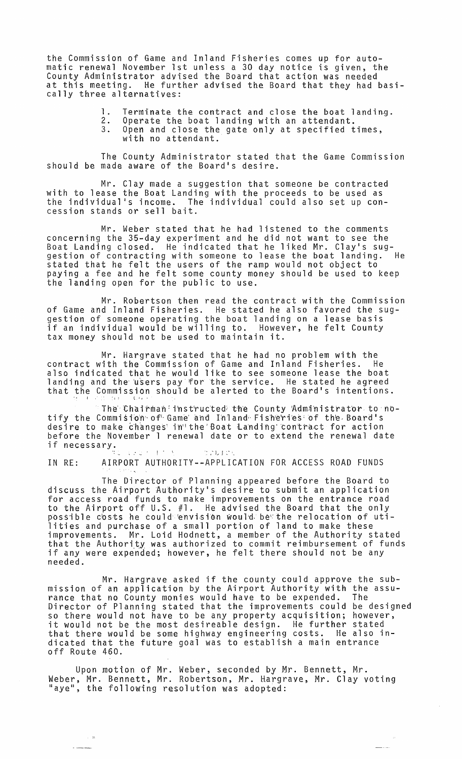the Commission of Game and Inland Fisheries comes up for automatic renewal November 1st unless a 30 day notice is given, the County Administrator advised the Board that action was needed at this meeting. He further advised the Board that they had basically three alternatives:

- 
- 1. Terminate the contract and close the boat landing.<br>2. Operate the boat landing with an attendant.<br>3. Open and close the gate only at specified times. Open and close the gate only at specified times, with no attendant.

The County Administrator stated that the Game Commission should be made aware of the Board's desire.

Mr. Clay made a suggestion that someone be contracted with to lease the Boat Landing with the proceeds to be used as the individual's income. The individual could also set up concession stands or sell bait.

Mr. Weber stated that he had listened to the comments concerning the 35-day experiment and he did not want to see the Boat Landing closed. He indicated that he liked Mr. Clay's sug- gestion of contracting with someone to lease the boat landing. He stated that he felt the users of the ramp would not object to paying a fee and he felt some county money should be used to keep the landing open for the public to use.

Mr. Robertson then read the contract with the Commission of Game and Inland Fisheries. He stated he also favored the suggestion of someone operating the boat landing on a lease basis if an individual would be willing to. However, he felt County tax money should not be used to maintain it.

Mr. Hargrave stated that he had no problem with the contract with the Commission of Game and Inland Fisheries. He also indicated that he would like to see someone lease the boat landing and the 'users pay for the service. He stated he agreed<br>that the Commission should be alerted to the Board's intentions.

The Chairman instructed the County 'Administrator to notify the Commision of Game and Inland Fisheries of the Board's desire to make changes' in"the Boat Landing' contract for action before the November 1 renewal date or to extend the renewal date if necessary. : 200 | 10 | 10 | 10 | 200 | 20

IN RE: AIRPORT AUTHORITY--APPLICATION FOR ACCESS ROAD FUNDS

The Director of Planning appeared before the Board to discuss the Airport Authority's desire to submit an application for access road funds to make improvements on the entrance road to the Airport off U.S. #1. He advised the Board that the only poss'ible c'osts he could 'envi,sio,nwoul'd. bet:the relocation of utilities and purchase of a small portion of land to make these improvements. Mr. Loid Hodnett, a member of the Authority stated that the Authority was authorized to commit reimbursement of funds if any were expended; however, he felt there should not be any needed.

Mr. Hargrave asked if the county could approve the submission of an application by the Airport Authority with the assurance that no County monies would have to be expended. The Director of Planning stated that the improvements could be designed so there would not have to be any property acquisition; however, so there would not have to be any property acquisition, nowever that there would be some highway engineering costs. He also indicated that the future goal was to establish a main entrance off Route 460.

Upon motion of Mr. Weber, seconded by Mr. Bennett, Mr. Weber, Mr. Bennett, Mr. Robertson, Mr. Hargrave, Mr. Clay voting "aye", the following resolution was adopted: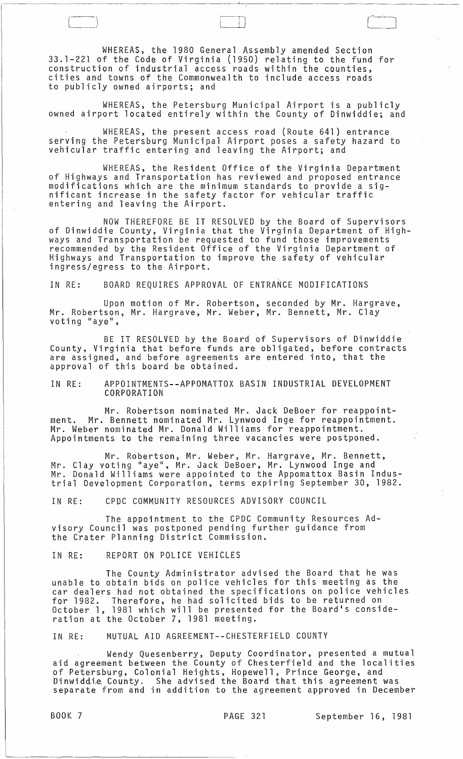WHEREAS, the 1980 General Assembly amended Section 33.1-221 of the Code of Virginia (1950) relating to the fund for construction of industrial access roads within the counties, cities and towns of the Commonwealth to include access roads to publicly owned airports; and

WHEREAS, the Petersburg Municipal Airport is a publicly owned airport located entirely within the County of Dinwiddie; and

WHEREAS, the present access road (Route 641) entrance serving the Petersburg Municipal Airport poses a safety hazard to vehicular traffic entering and leaving the Airport; and

WHEREAS, the Resident Office of the Virginia Department of Highways and Transportation has reviewed and proposed entrance modifications which are the minimum standards to provide a sig- nificant increase in the safety factor for vehicular traffic entering and leaving the Airport.

NOW THEREFORE BE IT RESOLVED by the Board of Supervisors of Dinwiddie County, Virginia that the Virginia Department of Highways and Transportation be requested to fund those improvements recommended by the Resident Office of the Virginia Department of Highways and Transportation to improve the safety of vehicular ingress/egress to the Airport.

IN RE: BOARD REQUIRES APPROVAL OF ENTRANCE MODIFICATIONS

Upon motion of Mr. Robertson, seconded by Mr. Hargrave, Mr. Robertson, Mr. Hargrave, Mr. Weber, Mr. Bennett, Mr. Clay<br>voting "aye",

BE IT RESOLVED by the Board of Supervisors of Dinwiddie County, Virginia that before funds are obligated, before contracts are assigned, and before agreements are entered into, that the approval of this board be obtained.

IN RE: APPOINTMENTS--APPOMATTOX BASIN INDUSTRIAL DEVELOPMENT CORPORATION

Mr. Robertson nominated Mr. Jack DeBoer for reappointment. Mr. Bennett nominated Mr. Lynwood Inge for reappointment. Mr. Weber nominated Mr. Donald Williams for reappointment. Appointments to the remaining three vacancies were postponed.

Mr. Robertson, Mr. Weber, Mr. Hargrave, Mr. Bennett, Mr. Clay voting "aye", Mr. Jack DeBoer, Mr. Lynwood Inge and Mr. Donald Williams were appointed to the Appomattox Basin Industrial Development Corporation, terms expiring September 30, 1982.

IN RE: CPDC COMMUNITY RESOURCES ADVISORY COUNCIL

The appointment to the CPDC Community Resources Advisory Council was postponed pending further guidance from the Crater Planning District Commission.

IN RE: REPORT ON POLICE VEHICLES

The County Administrator advised the Board that he was unable to obtain bids on police vehicles for this meeting as the car dealers had not obtained the specifications on police vehicles for 1982. Therefore, he had solicited bids to be returned on October 1, 1981 which will be presented for the Board's consideration at the October 7, 1981 meeting.

IN RE: MUTUAL AID AGREEMENT--CHESTERFIELD COUNTY

Wendy Quesenberry, Deputy Coordinator, presented a mutual aid agreement between the County of Chesterfield and the localities of Petersburg, Colonial Heights, Hopewell, Prince George, and<br>Dinwiddie County. She advised the Board that this agreement was separate from and in addition to the agreement approved in December

---------~----

 $[\hspace{-1.5pt}[$ --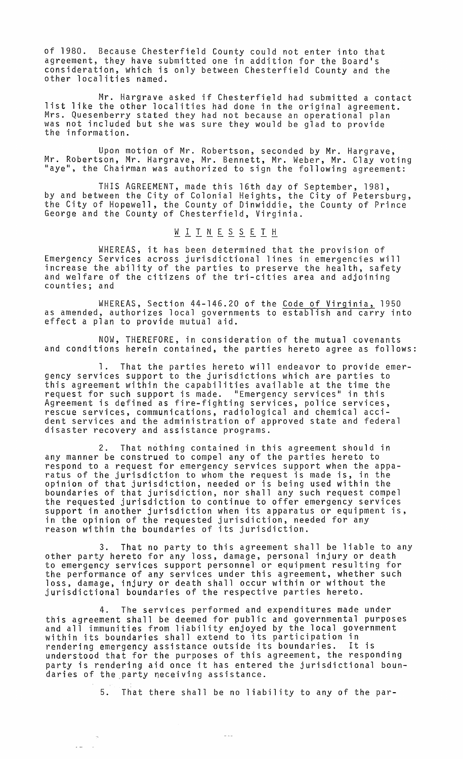of 1980. Because Chesterfield County could not enter into that agreement, they have submitted one in addition for the Board's consideration, which is only between Chesterfield County and the other localities named.

Mr. Hargrave asked if Chesterfield had submitted a contact list like the other localities had done in the original agreement. Mrs. Quesenberry stated they had not because an operational plan was not included but she was sure they would be glad to provide<br>the information.

Upon motion of Mr. Robertson, seconded by Mr. Hargrave, Mr. Robertson, Mr. Hargrave, Mr. Bennett, Mr. Weber, Mr. Clay voting "aye", the Chairman was authorized to sign the following agreement:

THIS AGREEMENT, made this 16th day of September, 1981, by and between the City of Colonial Heights, the City of Petersburg, the City of Hopewell, the County of Dinwiddie, the County of Prince George and the County of Chesterfield, Virginia.

# WITNESSETH

WHEREAS, it has been determined that the provision of Emergency Services across jurisdictional lines in emergencies will increase the ability of the parties to preserve the health, safety<br>and welfare of the citizens of the tri-cities area and adjoining<br>counties; and

WHEREAS, Section 44-146.20 of the Code of Virginia, 1950 as amended, authorizes local governments to establish and carry into effect a plan to provide mutual aid.

NOW, THEREFORE, in consideration of the mutual covenants and conditions herein contained, the parties hereto agree as follows:

That the parties hereto will endeavor to provide emergency services support to the jurisdictions which are parties to this agreement within the capabilities available at the time the request for such support is made. "Emergency services" in this Agreement is defined as fire-fighting services, police services, rescue services, communications, radiological and chemical accident services and the administration of approved state and federal disaster recovery and assistance programs.

2. That nothing contained in this agreement should in any manner be construed to compel any of the parties hereto to respond to a request for emergency services support when the apparatus of the jurisdiction to whom the request is made is, in the opinion of that jurisdiction, needed or is being used within the boundaries of that jurisdiction, nor shall any such request compel the requested jurisdiction to continue to offer emergency services support in another jurisdiction when its apparatus or equipment is, in the opinion of the requested jurisdiction, needed for any reason within the boundaries of its jurisdiction.

3. That no party to this agreement shall be liable to any other party hereto for any loss, damage, personal injury or death to emergency services support personnel or equipment resulting for the performance of any services under this agreement, whether such loss, damage, injury or death shall occur within or without the jurisdictional boundaries of the respective parties hereto.

4. The services performed and expenditures made under this agreement shall be deemed for public and governmental purposes<br>and all immunities from liability enjoyed by the local government and all immunities from liability enjoyed by the local government within its boundaries shall extend to its participation in rendering emergency assistance outside its boundaries. It is understood that for the purposes of this agreement, the responding party is rendering aid once it has entered the jurisdictional boundaries of the party neceiving assistance.

 $\bar{\omega}$  and

 $\hat{\mathbf{z}} = \hat{\mathbf{z}}$ 

5. That there shall be no liability to any of the par-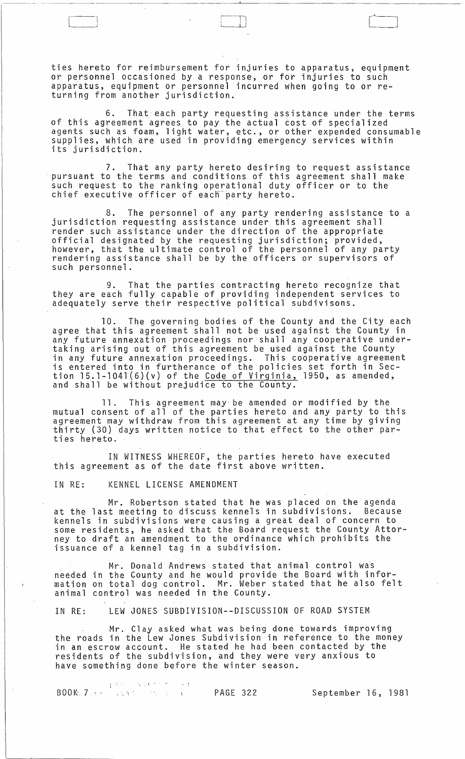ties hereto for reimbursement for injuries to apparatus, equipment or personnel occasioned by a response, or for injuries to such apparatus, equipment or personnel incurred when going to or returning from another jurisdiction.

 $\overline{1}$  $\overline{\phantom{a}}$ 

6. That each party requesting assistance under the terms of this agreement agrees to pay the actual cost of specialized agents such as foam, light water, etc., or other expended consumable supplies, which are used in providing emergency services within its jurisdiction.

7. That any party hereto desiring to request assistance<br>pursuant to the terms and conditions of this agreement shall make such request to the ranking operational duty officer or to the chief executive officer of each party hereto.

8. The personnel of any party rendering assistance to a jurisdiction requesting assistance under this agreement shall render such assistance under the direction of the appropriate official designated by the requesting jurisdiction; provided, however, that the ultimate control of the personnel of any party rendering assistance shall be by the officers or supervisors of such personnel.

9. That the parties contracting hereto recognize that they are each fully capable of providing independent services to adequately serve their respective political subdivisons.

10. The governing bodies of the County and the City each agree that this agreement shall not be used against the County in any future annexation proceedings nor shall any cooperative undertaking arising out of this agreement be used against the County in any future annexation proceedings. This cooperative agreement is entered into in furtherance of the policies set forth in Section l5.1-l04l(6)(v) of the Code of Virginia, 1950, as amended, and shall be without prejudice to the County.

11. This agreement may-be amended or modified by the mutual consent of all of the parties hereto and any party to this agreement may withdraw from this agreement at any time by giving thirty (30) days written notice to that effect to the other parties hereto.

IN WITNESS WHEREOF, the parties hereto have executed this agreement as of the date first above written.

IN RE: KENNEL LICENSE AMENDMENT

Mr. Robertson stated that he was placed on the agenda at the last meeting to discuss kennels in subdivisions. Because kennels in subdivisions were causing a great deal of concern to some residents, he asked that the Board request the County Attorney to draft an amendment to the ordinance which prohibits the issuance of a kennel tag in a subdivision.

Mr. Donald Andrews stated that animal control was needed in the County and he would provide the Board with information on total dog control. Mr. Weber stated that he also felt animal control was needed in the County.

IN RE: LEW JONES SUBDIVISION--DISCUSSION OF ROAD SYSTEM

Mr. Clay asked what was being done towards improving the roads in the Lew Jones Subdivision in reference to the money in an escrow account. He stated he had been contacted by the residents of the subdivision, and they were very anxious to have something done before the winter season.

, and the states of the **PAGE 322** September 16, 1981